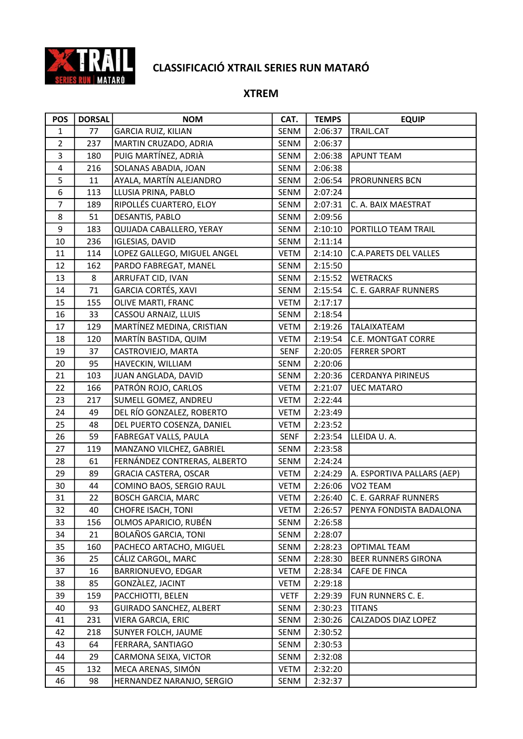

| <b>POS</b>     | <b>DORSAL</b> | <b>NOM</b>                     | CAT.        | <b>TEMPS</b> | <b>EQUIP</b>                 |
|----------------|---------------|--------------------------------|-------------|--------------|------------------------------|
| $\mathbf{1}$   | 77            | <b>GARCIA RUIZ, KILIAN</b>     | SENM        | 2:06:37      | TRAIL.CAT                    |
| $\overline{2}$ | 237           | MARTIN CRUZADO, ADRIA          | SENM        | 2:06:37      |                              |
| 3              | 180           | PUIG MARTÍNEZ, ADRIÀ           | SENM        | 2:06:38      | <b>APUNT TEAM</b>            |
| 4              | 216           | SOLANAS ABADIA, JOAN           | <b>SENM</b> | 2:06:38      |                              |
| 5              | 11            | AYALA, MARTÍN ALEJANDRO        | SENM        | 2:06:54      | <b>PRORUNNERS BCN</b>        |
| 6              | 113           | LLUSIA PRINA, PABLO            | SENM        | 2:07:24      |                              |
| $\overline{7}$ | 189           | RIPOLLÉS CUARTERO, ELOY        | SENM        | 2:07:31      | C. A. BAIX MAESTRAT          |
| 8              | 51            | DESANTIS, PABLO                | <b>SENM</b> | 2:09:56      |                              |
| 9              | 183           | QUIJADA CABALLERO, YERAY       | SENM        | 2:10:10      | PORTILLO TEAM TRAIL          |
| 10             | 236           | <b>IGLESIAS, DAVID</b>         | SENM        | 2:11:14      |                              |
| 11             | 114           | LOPEZ GALLEGO, MIGUEL ANGEL    | <b>VETM</b> | 2:14:10      | <b>C.A.PARETS DEL VALLES</b> |
| 12             | 162           | PARDO FABREGAT, MANEL          | SENM        | 2:15:50      |                              |
| 13             | 8             | ARRUFAT CID, IVAN              | SENM        | 2:15:52      | <b>WETRACKS</b>              |
| 14             | 71            | GARCIA CORTÉS, XAVI            | SENM        | 2:15:54      | C. E. GARRAF RUNNERS         |
| 15             | 155           | OLIVE MARTI, FRANC             | <b>VETM</b> | 2:17:17      |                              |
| 16             | 33            | CASSOU ARNAIZ, LLUIS           | SENM        | 2:18:54      |                              |
| 17             | 129           | MARTÍNEZ MEDINA, CRISTIAN      | VETM        | 2:19:26      | <b>TALAIXATEAM</b>           |
| 18             | 120           | MARTÍN BASTIDA, QUIM           | <b>VETM</b> | 2:19:54      | C.E. MONTGAT CORRE           |
| 19             | 37            | CASTROVIEJO, MARTA             | <b>SENF</b> | 2:20:05      | <b>FERRER SPORT</b>          |
| 20             | 95            | HAVECKIN, WILLIAM              | SENM        | 2:20:06      |                              |
| 21             | 103           | JUAN ANGLADA, DAVID            | SENM        | 2:20:36      | <b>CERDANYA PIRINEUS</b>     |
| 22             | 166           | PATRÓN ROJO, CARLOS            | <b>VETM</b> | 2:21:07      | <b>UEC MATARO</b>            |
| 23             | 217           | SUMELL GOMEZ, ANDREU           | VETM        | 2:22:44      |                              |
| 24             | 49            | DEL RÍO GONZALEZ, ROBERTO      | VETM        | 2:23:49      |                              |
| 25             | 48            | DEL PUERTO COSENZA, DANIEL     | <b>VETM</b> | 2:23:52      |                              |
| 26             | 59            | FABREGAT VALLS, PAULA          | <b>SENF</b> | 2:23:54      | LLEIDA U.A.                  |
| 27             | 119           | MANZANO VILCHEZ, GABRIEL       | SENM        | 2:23:58      |                              |
| 28             | 61            | FERNÁNDEZ CONTRERAS, ALBERTO   | SENM        | 2:24:24      |                              |
| 29             | 89            | <b>GRACIA CASTERA, OSCAR</b>   | <b>VETM</b> | 2:24:29      | A. ESPORTIVA PALLARS (AEP)   |
| 30             | 44            | COMINO BAOS, SERGIO RAUL       | VETM        | 2:26:06      | VO <sub>2</sub> TEAM         |
| 31             | 22            | <b>BOSCH GARCIA, MARC</b>      | <b>VETM</b> | 2:26:40      | C. E. GARRAF RUNNERS         |
| 32             | 40            | <b>CHOFRE ISACH, TONI</b>      | VETM        | 2:26:57      | PENYA FONDISTA BADALONA      |
| 33             | 156           | OLMOS APARICIO, RUBÉN          | SENM        | 2:26:58      |                              |
| 34             | 21            | BOLAÑOS GARCIA, TONI           | SENM        | 2:28:07      |                              |
| 35             | 160           | PACHECO ARTACHO, MIGUEL        | SENM        | 2:28:23      | <b>OPTIMAL TEAM</b>          |
| 36             | 25            | CÁLIZ CARGOL, MARC             | SENM        | 2:28:30      | <b>BEER RUNNERS GIRONA</b>   |
| 37             | 16            | BARRIONUEVO, EDGAR             | <b>VETM</b> | 2:28:34      | CAFE DE FINCA                |
| 38             | 85            | GONZÀLEZ, JACINT               | <b>VETM</b> | 2:29:18      |                              |
| 39             | 159           | PACCHIOTTI, BELEN              | <b>VETF</b> | 2:29:39      | FUN RUNNERS C. E.            |
| 40             | 93            | <b>GUIRADO SANCHEZ, ALBERT</b> | SENM        | 2:30:23      | <b>TITANS</b>                |
| 41             | 231           | VIERA GARCIA, ERIC             | SENM        | 2:30:26      | CALZADOS DIAZ LOPEZ          |
| 42             | 218           | SUNYER FOLCH, JAUME            | SENM        | 2:30:52      |                              |
| 43             | 64            | FERRARA, SANTIAGO              | SENM        | 2:30:53      |                              |
| 44             | 29            | CARMONA SEIXA, VICTOR          | SENM        | 2:32:08      |                              |
| 45             | 132           | MECA ARENAS, SIMÓN             | VETM        | 2:32:20      |                              |
| 46             | 98            | HERNANDEZ NARANJO, SERGIO      | SENM        | 2:32:37      |                              |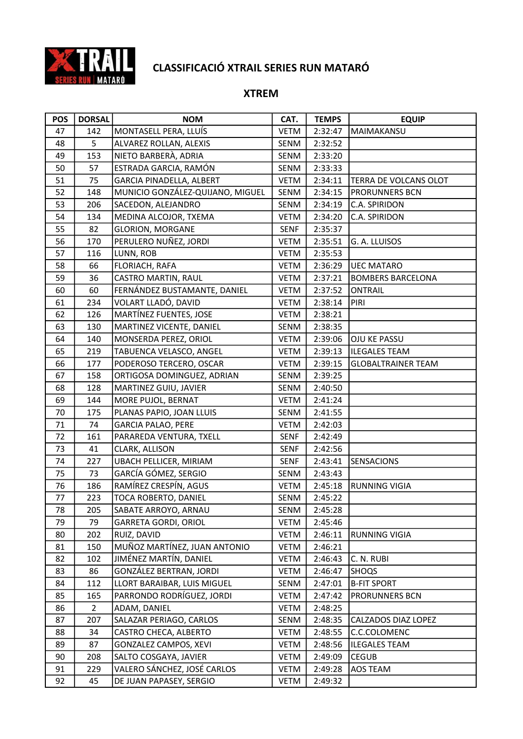

| <b>POS</b> | <b>DORSAL</b> | <b>NOM</b>                       | CAT.        | <b>TEMPS</b> | <b>EQUIP</b>              |
|------------|---------------|----------------------------------|-------------|--------------|---------------------------|
| 47         | 142           | MONTASELL PERA, LLUÍS            | <b>VETM</b> | 2:32:47      | MAIMAKANSU                |
| 48         | 5             | ALVAREZ ROLLAN, ALEXIS           | SENM        | 2:32:52      |                           |
| 49         | 153           | NIETO BARBERÀ, ADRIA             | SENM        | 2:33:20      |                           |
| 50         | 57            | ESTRADA GARCIA, RAMÓN            | SENM        | 2:33:33      |                           |
| 51         | 75            | GARCIA PINADELLA, ALBERT         | <b>VETM</b> | 2:34:11      | TERRA DE VOLCANS OLOT     |
| 52         | 148           | MUNICIO GONZÁLEZ-QUIJANO, MIGUEL | SENM        | 2:34:15      | PRORUNNERS BCN            |
| 53         | 206           | SACEDON, ALEJANDRO               | SENM        | 2:34:19      | C.A. SPIRIDON             |
| 54         | 134           | MEDINA ALCOJOR, TXEMA            | <b>VETM</b> | 2:34:20      | C.A. SPIRIDON             |
| 55         | 82            | <b>GLORION, MORGANE</b>          | <b>SENF</b> | 2:35:37      |                           |
| 56         | 170           | PERULERO NUÑEZ, JORDI            | <b>VETM</b> | 2:35:51      | G. A. LLUISOS             |
| 57         | 116           | LUNN, ROB                        | <b>VETM</b> | 2:35:53      |                           |
| 58         | 66            | FLORIACH, RAFA                   | <b>VETM</b> | 2:36:29      | <b>UEC MATARO</b>         |
| 59         | 36            | CASTRO MARTIN, RAUL              | <b>VETM</b> | 2:37:21      | <b>BOMBERS BARCELONA</b>  |
| 60         | 60            | FERNÁNDEZ BUSTAMANTE, DANIEL     | VETM        | 2:37:52      | <b>ONTRAIL</b>            |
| 61         | 234           | VOLART LLADÓ, DAVID              | <b>VETM</b> | 2:38:14      | PIRI                      |
| 62         | 126           | MARTÍNEZ FUENTES, JOSE           | <b>VETM</b> | 2:38:21      |                           |
| 63         | 130           | MARTINEZ VICENTE, DANIEL         | SENM        | 2:38:35      |                           |
| 64         | 140           | MONSERDA PEREZ, ORIOL            | <b>VETM</b> | 2:39:06      | OJU KE PASSU              |
| 65         | 219           | TABUENCA VELASCO, ANGEL          | <b>VETM</b> | 2:39:13      | <b>ILEGALES TEAM</b>      |
| 66         | 177           | PODEROSO TERCERO, OSCAR          | <b>VETM</b> | 2:39:15      | <b>GLOBALTRAINER TEAM</b> |
| 67         | 158           | ORTIGOSA DOMINGUEZ, ADRIAN       | SENM        | 2:39:25      |                           |
| 68         | 128           | MARTINEZ GUIU, JAVIER            | SENM        | 2:40:50      |                           |
| 69         | 144           | MORE PUJOL, BERNAT               | <b>VETM</b> | 2:41:24      |                           |
| 70         | 175           | PLANAS PAPIO, JOAN LLUIS         | SENM        | 2:41:55      |                           |
| 71         | 74            | <b>GARCIA PALAO, PERE</b>        | <b>VETM</b> | 2:42:03      |                           |
| 72         | 161           | PARAREDA VENTURA, TXELL          | <b>SENF</b> | 2:42:49      |                           |
| 73         | 41            | CLARK, ALLISON                   | SENF        | 2:42:56      |                           |
| 74         | 227           | UBACH PELLICER, MIRIAM           | <b>SENF</b> | 2:43:41      | SENSACIONS                |
| 75         | 73            | GARCÍA GÓMEZ, SERGIO             | SENM        | 2:43:43      |                           |
| 76         | 186           | RAMÍREZ CRESPÍN, AGUS            | <b>VETM</b> | 2:45:18      | <b>RUNNING VIGIA</b>      |
| 77         | 223           | TOCA ROBERTO, DANIEL             | SENM        | 2:45:22      |                           |
| 78         | 205           | SABATE ARROYO, ARNAU             | SENM        | 2:45:28      |                           |
| 79         | 79            | <b>GARRETA GORDI, ORIOL</b>      | <b>VETM</b> | 2:45:46      |                           |
| 80         | 202           | RUIZ, DAVID                      | <b>VETM</b> | 2:46:11      | <b>RUNNING VIGIA</b>      |
| 81         | 150           | MUÑOZ MARTÍNEZ, JUAN ANTONIO     | <b>VETM</b> | 2:46:21      |                           |
| 82         | 102           | JIMÉNEZ MARTÍN, DANIEL           | VETM        | 2:46:43      | C. N. RUBI                |
| 83         | 86            | GONZÁLEZ BERTRAN, JORDI          | <b>VETM</b> | 2:46:47      | SHOQS                     |
| 84         | 112           | LLORT BARAIBAR, LUIS MIGUEL      | SENM        | 2:47:01      | <b>B-FIT SPORT</b>        |
| 85         | 165           | PARRONDO RODRÍGUEZ, JORDI        | <b>VETM</b> | 2:47:42      | PRORUNNERS BCN            |
| 86         | 2             | ADAM, DANIEL                     | <b>VETM</b> | 2:48:25      |                           |
| 87         | 207           | SALAZAR PERIAGO, CARLOS          | SENM        | 2:48:35      | CALZADOS DIAZ LOPEZ       |
| 88         | 34            | CASTRO CHECA, ALBERTO            | VETM        | 2:48:55      | C.C.COLOMENC              |
| 89         | 87            | <b>GONZALEZ CAMPOS, XEVI</b>     | <b>VETM</b> | 2:48:56      | <b>ILEGALES TEAM</b>      |
| 90         | 208           | SALTO COSGAYA, JAVIER            | <b>VETM</b> | 2:49:09      | <b>CEGUB</b>              |
| 91         | 229           | VALERO SÁNCHEZ, JOSÉ CARLOS      | VETM        | 2:49:28      | AOS TEAM                  |
| 92         | 45            | DE JUAN PAPASEY, SERGIO          | VETM        | 2:49:32      |                           |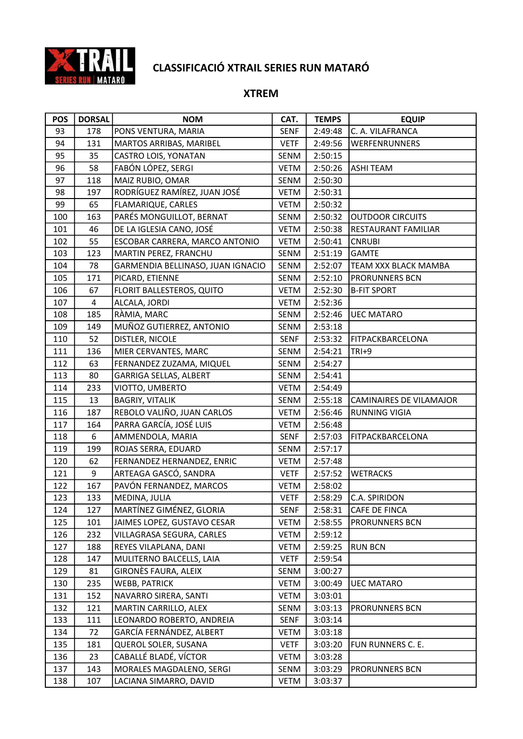

| <b>POS</b> | <b>DORSAL</b> | <b>NOM</b>                        | CAT.        | <b>TEMPS</b> | <b>EQUIP</b>            |
|------------|---------------|-----------------------------------|-------------|--------------|-------------------------|
| 93         | 178           | PONS VENTURA, MARIA               | <b>SENF</b> | 2:49:48      | C. A. VILAFRANCA        |
| 94         | 131           | MARTOS ARRIBAS, MARIBEL           | <b>VETF</b> | 2:49:56      | WERFENRUNNERS           |
| 95         | 35            | CASTRO LOIS, YONATAN              | SENM        | 2:50:15      |                         |
| 96         | 58            | FABÓN LÓPEZ, SERGI                | <b>VETM</b> | 2:50:26      | <b>ASHI TEAM</b>        |
| 97         | 118           | MAIZ RUBIO, OMAR                  | SENM        | 2:50:30      |                         |
| 98         | 197           | RODRÍGUEZ RAMÍREZ, JUAN JOSÉ      | VETM        | 2:50:31      |                         |
| 99         | 65            | FLAMARIQUE, CARLES                | <b>VETM</b> | 2:50:32      |                         |
| 100        | 163           | PARÉS MONGUILLOT, BERNAT          | SENM        | 2:50:32      | OUTDOOR CIRCUITS        |
| 101        | 46            | DE LA IGLESIA CANO, JOSÉ          | <b>VETM</b> | 2:50:38      | RESTAURANT FAMILIAR     |
| 102        | 55            | ESCOBAR CARRERA, MARCO ANTONIO    | <b>VETM</b> | 2:50:41      | <b>CNRUBI</b>           |
| 103        | 123           | MARTIN PEREZ, FRANCHU             | SENM        | 2:51:19      | <b>GAMTE</b>            |
| 104        | 78            | GARMENDIA BELLINASO, JUAN IGNACIO | SENM        | 2:52:07      | TEAM XXX BLACK MAMBA    |
| 105        | 171           | PICARD, ETIENNE                   | SENM        | 2:52:10      | PRORUNNERS BCN          |
| 106        | 67            | FLORIT BALLESTEROS, QUITO         | <b>VETM</b> | 2:52:30      | <b>B-FIT SPORT</b>      |
| 107        | 4             | ALCALA, JORDI                     | <b>VETM</b> | 2:52:36      |                         |
| 108        | 185           | RÀMIA, MARC                       | SENM        | 2:52:46      | <b>UEC MATARO</b>       |
| 109        | 149           | MUÑOZ GUTIERREZ, ANTONIO          | SENM        | 2:53:18      |                         |
| 110        | 52            | DISTLER, NICOLE                   | <b>SENF</b> | 2:53:32      | <b>FITPACKBARCELONA</b> |
| 111        | 136           | MIER CERVANTES, MARC              | SENM        | 2:54:21      | TRI+9                   |
| 112        | 63            | FERNANDEZ ZUZAMA, MIQUEL          | SENM        | 2:54:27      |                         |
| 113        | 80            | GARRIGA SELLAS, ALBERT            | SENM        | 2:54:41      |                         |
| 114        | 233           | VIOTTO, UMBERTO                   | <b>VETM</b> | 2:54:49      |                         |
| 115        | 13            | <b>BAGRIY, VITALIK</b>            | SENM        | 2:55:18      | CAMINAIRES DE VILAMAJOR |
| 116        | 187           | REBOLO VALIÑO, JUAN CARLOS        | <b>VETM</b> | 2:56:46      | <b>RUNNING VIGIA</b>    |
| 117        | 164           | PARRA GARCÍA, JOSÉ LUIS           | VETM        | 2:56:48      |                         |
| 118        | 6             | AMMENDOLA, MARIA                  | <b>SENF</b> | 2:57:03      | FITPACKBARCELONA        |
| 119        | 199           | ROJAS SERRA, EDUARD               | SENM        | 2:57:17      |                         |
| 120        | 62            | FERNANDEZ HERNANDEZ, ENRIC        | VETM        | 2:57:48      |                         |
| 121        | 9             | ARTEAGA GASCÓ, SANDRA             | <b>VETF</b> | 2:57:52      | <b>WETRACKS</b>         |
| 122        | 167           | PAVÓN FERNANDEZ, MARCOS           | VETM        | 2:58:02      |                         |
| 123        | 133           | MEDINA, JULIA                     | <b>VETF</b> | 2:58:29      | C.A. SPIRIDON           |
| 124        | 127           | MARTÍNEZ GIMÉNEZ, GLORIA          | <b>SENF</b> | 2:58:31      | CAFE DE FINCA           |
| 125        | 101           | JAIMES LOPEZ, GUSTAVO CESAR       | VETM        | 2:58:55      | PRORUNNERS BCN          |
| 126        | 232           | VILLAGRASA SEGURA, CARLES         | VETM        | 2:59:12      |                         |
| 127        | 188           | REYES VILAPLANA, DANI             | VETM        | 2:59:25      | <b>RUN BCN</b>          |
| 128        | 147           | MULITERNO BALCELLS, LAIA          | <b>VETF</b> | 2:59:54      |                         |
| 129        | 81            | GIRONÈS FAURA, ALEIX              | SENM        | 3:00:27      |                         |
| 130        | 235           | <b>WEBB, PATRICK</b>              | <b>VETM</b> | 3:00:49      | <b>UEC MATARO</b>       |
| 131        | 152           | NAVARRO SIRERA, SANTI             | <b>VETM</b> | 3:03:01      |                         |
| 132        | 121           | MARTIN CARRILLO, ALEX             | SENM        | 3:03:13      | PRORUNNERS BCN          |
| 133        | 111           | LEONARDO ROBERTO, ANDREIA         | <b>SENF</b> | 3:03:14      |                         |
| 134        | 72            | GARCÍA FERNÁNDEZ, ALBERT          | <b>VETM</b> | 3:03:18      |                         |
| 135        | 181           | QUEROL SOLER, SUSANA              | <b>VETF</b> | 3:03:20      | FUN RUNNERS C. E.       |
| 136        | 23            | CABALLÉ BLADÉ, VÍCTOR             | VETM        | 3:03:28      |                         |
| 137        | 143           | MORALES MAGDALENO, SERGI          | SENM        | 3:03:29      | PRORUNNERS BCN          |
| 138        | 107           | LACIANA SIMARRO, DAVID            | VETM        | 3:03:37      |                         |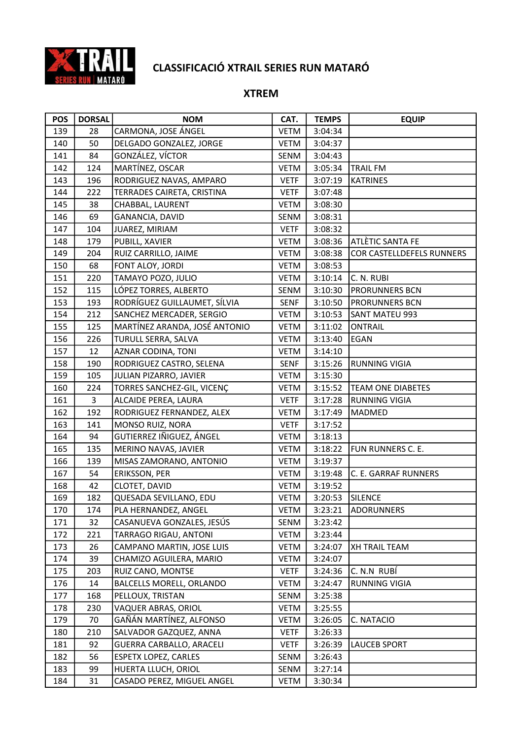

| <b>POS</b> | <b>DORSAL</b> | <b>NOM</b>                    | CAT.        | <b>TEMPS</b> | <b>EQUIP</b>              |
|------------|---------------|-------------------------------|-------------|--------------|---------------------------|
| 139        | 28            | CARMONA, JOSE ÁNGEL           | <b>VETM</b> | 3:04:34      |                           |
| 140        | 50            | DELGADO GONZALEZ, JORGE       | <b>VETM</b> | 3:04:37      |                           |
| 141        | 84            | GONZÁLEZ, VÍCTOR              | SENM        | 3:04:43      |                           |
| 142        | 124           | MARTÍNEZ, OSCAR               | <b>VETM</b> | 3:05:34      | <b>TRAIL FM</b>           |
| 143        | 196           | RODRIGUEZ NAVAS, AMPARO       | <b>VETF</b> | 3:07:19      | <b>KATRINES</b>           |
| 144        | 222           | TERRADES CAIRETA, CRISTINA    | <b>VETF</b> | 3:07:48      |                           |
| 145        | 38            | CHABBAL, LAURENT              | <b>VETM</b> | 3:08:30      |                           |
| 146        | 69            | GANANCIA, DAVID               | SENM        | 3:08:31      |                           |
| 147        | 104           | JUAREZ, MIRIAM                | <b>VETF</b> | 3:08:32      |                           |
| 148        | 179           | PUBILL, XAVIER                | <b>VETM</b> | 3:08:36      | ATLÈTIC SANTA FE          |
| 149        | 204           | RUIZ CARRILLO, JAIME          | VETM        | 3:08:38      | COR CASTELLDEFELS RUNNERS |
| 150        | 68            | FONT ALOY, JORDI              | VETM        | 3:08:53      |                           |
| 151        | 220           | TAMAYO POZO, JULIO            | VETM        | 3:10:14      | C. N. RUBI                |
| 152        | 115           | LÓPEZ TORRES, ALBERTO         | SENM        | 3:10:30      | <b>PRORUNNERS BCN</b>     |
| 153        | 193           | RODRÍGUEZ GUILLAUMET, SÍLVIA  | <b>SENF</b> | 3:10:50      | PRORUNNERS BCN            |
| 154        | 212           | SANCHEZ MERCADER, SERGIO      | <b>VETM</b> | 3:10:53      | <b>SANT MATEU 993</b>     |
| 155        | 125           | MARTÍNEZ ARANDA, JOSÉ ANTONIO | <b>VETM</b> | 3:11:02      | <b>ONTRAIL</b>            |
| 156        | 226           | TURULL SERRA, SALVA           | <b>VETM</b> | 3:13:40      | EGAN                      |
| 157        | 12            | AZNAR CODINA, TONI            | VETM        | 3:14:10      |                           |
| 158        | 190           | RODRIGUEZ CASTRO, SELENA      | <b>SENF</b> | 3:15:26      | <b>RUNNING VIGIA</b>      |
| 159        | 105           | JULIAN PIZARRO, JAVIER        | <b>VETM</b> | 3:15:30      |                           |
| 160        | 224           | TORRES SANCHEZ-GIL, VICENÇ    | VETM        | 3:15:52      | <b>TEAM ONE DIABETES</b>  |
| 161        | 3             | ALCAIDE PEREA, LAURA          | <b>VETF</b> | 3:17:28      | <b>RUNNING VIGIA</b>      |
| 162        | 192           | RODRIGUEZ FERNANDEZ, ALEX     | VETM        | 3:17:49      | <b>MADMED</b>             |
| 163        | 141           | MONSO RUIZ, NORA              | <b>VETF</b> | 3:17:52      |                           |
| 164        | 94            | GUTIERREZ IÑIGUEZ, ÁNGEL      | VETM        | 3:18:13      |                           |
| 165        | 135           | MERINO NAVAS, JAVIER          | <b>VETM</b> | 3:18:22      | FUN RUNNERS C. E.         |
| 166        | 139           | MISAS ZAMORANO, ANTONIO       | VETM        | 3:19:37      |                           |
| 167        | 54            | ERIKSSON, PER                 | <b>VETM</b> | 3:19:48      | C. E. GARRAF RUNNERS      |
| 168        | 42            | CLOTET, DAVID                 | VETM        | 3:19:52      |                           |
| 169        | 182           | QUESADA SEVILLANO, EDU        | <b>VETM</b> | 3:20:53      | SILENCE                   |
| 170        | 174           | PLA HERNANDEZ, ANGEL          | VETM        | 3:23:21      | <b>ADORUNNERS</b>         |
| 171        | 32            | CASANUEVA GONZALES, JESÚS     | SENM        | 3:23:42      |                           |
| 172        | 221           | TARRAGO RIGAU, ANTONI         | <b>VETM</b> | 3:23:44      |                           |
| 173        | 26            | CAMPANO MARTIN, JOSE LUIS     | <b>VETM</b> | 3:24:07      | <b>XH TRAIL TEAM</b>      |
| 174        | 39            | CHAMIZO AGUILERA, MARIO       | VETM        | 3:24:07      |                           |
| 175        | 203           | RUIZ CANO, MONTSE             | <b>VETF</b> | 3:24:36      | C. N.N RUBÍ               |
| 176        | 14            | BALCELLS MORELL, ORLANDO      | <b>VETM</b> | 3:24:47      | <b>RUNNING VIGIA</b>      |
| 177        | 168           | PELLOUX, TRISTAN              | SENM        | 3:25:38      |                           |
| 178        | 230           | VAQUER ABRAS, ORIOL           | VETM        | 3:25:55      |                           |
| 179        | 70            | GAÑÁN MARTÍNEZ, ALFONSO       | VETM        | 3:26:05      | C. NATACIO                |
| 180        | 210           | SALVADOR GAZQUEZ, ANNA        | <b>VETF</b> | 3:26:33      |                           |
| 181        | 92            | GUERRA CARBALLO, ARACELI      | <b>VETF</b> | 3:26:39      | LAUCEB SPORT              |
| 182        | 56            | <b>ESPETX LOPEZ, CARLES</b>   | SENM        | 3:26:43      |                           |
| 183        | 99            | HUERTA LLUCH, ORIOL           | SENM        | 3:27:14      |                           |
| 184        | 31            | CASADO PEREZ, MIGUEL ANGEL    | <b>VETM</b> | 3:30:34      |                           |